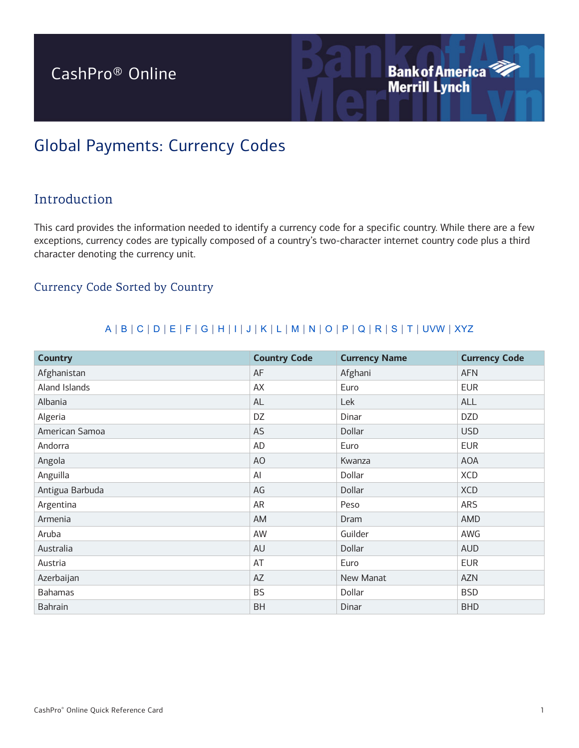# CashPro® Online

## Global Payments: Currency Codes

## Introduction

This card provides the information needed to identify a currency code for a specific country. While there are a few exceptions, currency codes are typically composed of a country's two-character internet country code plus a third character denoting the currency unit.

**Bank of America<sup>2</sup>** 

### Currency Code Sorted by Country

#### A | B | C | D | E | F | G | H | I | J | K | L | M | N | O | P | Q | R | S | T | UVW | XYZ

| <b>Country</b>  | <b>Country Code</b> | <b>Currency Name</b> | <b>Currency Code</b> |
|-----------------|---------------------|----------------------|----------------------|
| Afghanistan     | AF                  | Afghani              | <b>AFN</b>           |
| Aland Islands   | AX                  | Euro                 | <b>EUR</b>           |
| Albania         | AL                  | Lek                  | ALL                  |
| Algeria         | DZ                  | Dinar                | <b>DZD</b>           |
| American Samoa  | AS                  | Dollar               | <b>USD</b>           |
| Andorra         | <b>AD</b>           | Euro                 | <b>EUR</b>           |
| Angola          | AO                  | Kwanza               | <b>AOA</b>           |
| Anguilla        | Al                  | Dollar               | <b>XCD</b>           |
| Antigua Barbuda | AG                  | Dollar               | <b>XCD</b>           |
| Argentina       | AR                  | Peso                 | <b>ARS</b>           |
| Armenia         | AM                  | Dram                 | AMD                  |
| Aruba           | AW                  | Guilder              | AWG                  |
| Australia       | AU                  | Dollar               | <b>AUD</b>           |
| Austria         | AT                  | Euro                 | <b>EUR</b>           |
| Azerbaijan      | AZ                  | New Manat            | <b>AZN</b>           |
| <b>Bahamas</b>  | <b>BS</b>           | Dollar               | <b>BSD</b>           |
| <b>Bahrain</b>  | <b>BH</b>           | Dinar                | <b>BHD</b>           |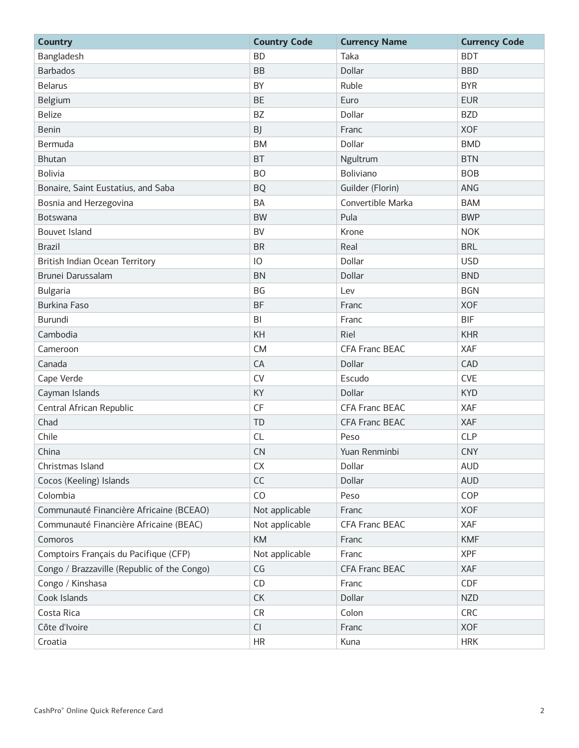| <b>Country</b>                              | <b>Country Code</b> | <b>Currency Name</b>  | <b>Currency Code</b> |
|---------------------------------------------|---------------------|-----------------------|----------------------|
| Bangladesh                                  | <b>BD</b>           | Taka                  | <b>BDT</b>           |
| <b>Barbados</b>                             | <b>BB</b>           | Dollar                | <b>BBD</b>           |
| <b>Belarus</b>                              | BY                  | Ruble                 | <b>BYR</b>           |
| Belgium                                     | <b>BE</b>           | Euro                  | <b>EUR</b>           |
| <b>Belize</b>                               | BZ                  | Dollar                | <b>BZD</b>           |
| <b>Benin</b>                                | BJ                  | Franc                 | <b>XOF</b>           |
| Bermuda                                     | <b>BM</b>           | Dollar                | <b>BMD</b>           |
| <b>Bhutan</b>                               | <b>BT</b>           | Ngultrum              | <b>BTN</b>           |
| <b>Bolivia</b>                              | <b>BO</b>           | <b>Boliviano</b>      | <b>BOB</b>           |
| Bonaire, Saint Eustatius, and Saba          | <b>BQ</b>           | Guilder (Florin)      | ANG                  |
| Bosnia and Herzegovina                      | <b>BA</b>           | Convertible Marka     | <b>BAM</b>           |
| <b>Botswana</b>                             | <b>BW</b>           | Pula                  | <b>BWP</b>           |
| Bouvet Island                               | <b>BV</b>           | Krone                 | <b>NOK</b>           |
| <b>Brazil</b>                               | <b>BR</b>           | Real                  | <b>BRL</b>           |
| British Indian Ocean Territory              | 10                  | Dollar                | <b>USD</b>           |
| Brunei Darussalam                           | <b>BN</b>           | Dollar                | <b>BND</b>           |
| <b>Bulgaria</b>                             | BG                  | Lev                   | <b>BGN</b>           |
| <b>Burkina Faso</b>                         | <b>BF</b>           | Franc                 | <b>XOF</b>           |
| <b>Burundi</b>                              | B <sub>l</sub>      | Franc                 | <b>BIF</b>           |
| Cambodia                                    | KH                  | Riel                  | <b>KHR</b>           |
| Cameroon                                    | <b>CM</b>           | <b>CFA Franc BEAC</b> | XAF                  |
| Canada                                      | CA                  | Dollar                | CAD                  |
| Cape Verde                                  | <b>CV</b>           | Escudo                | <b>CVE</b>           |
| Cayman Islands                              | KY                  | Dollar                | <b>KYD</b>           |
| Central African Republic                    | CF                  | <b>CFA Franc BEAC</b> | XAF                  |
| Chad                                        | TD                  | <b>CFA Franc BEAC</b> | XAF                  |
| Chile                                       | <b>CL</b>           | Peso                  | <b>CLP</b>           |
| China                                       | CN                  | Yuan Renminbi         | <b>CNY</b>           |
| Christmas Island                            | CX                  | Dollar                | <b>AUD</b>           |
| Cocos (Keeling) Islands                     | CC                  | Dollar                | <b>AUD</b>           |
| Colombia                                    | CO                  | Peso                  | COP                  |
| Communauté Financière Africaine (BCEAO)     | Not applicable      | Franc                 | <b>XOF</b>           |
| Communauté Financière Africaine (BEAC)      | Not applicable      | <b>CFA Franc BEAC</b> | XAF                  |
| Comoros                                     | <b>KM</b>           | Franc                 | <b>KMF</b>           |
| Comptoirs Français du Pacifique (CFP)       | Not applicable      | Franc                 | <b>XPF</b>           |
| Congo / Brazzaville (Republic of the Congo) | CG                  | CFA Franc BEAC        | XAF                  |
| Congo / Kinshasa                            | CD                  | Franc                 | CDF                  |
| Cook Islands                                | CK                  | Dollar                | <b>NZD</b>           |
| Costa Rica                                  | <b>CR</b>           | Colon                 | CRC                  |
| Côte d'Ivoire                               | <b>CI</b>           | Franc                 | <b>XOF</b>           |
| Croatia                                     | <b>HR</b>           | Kuna                  | <b>HRK</b>           |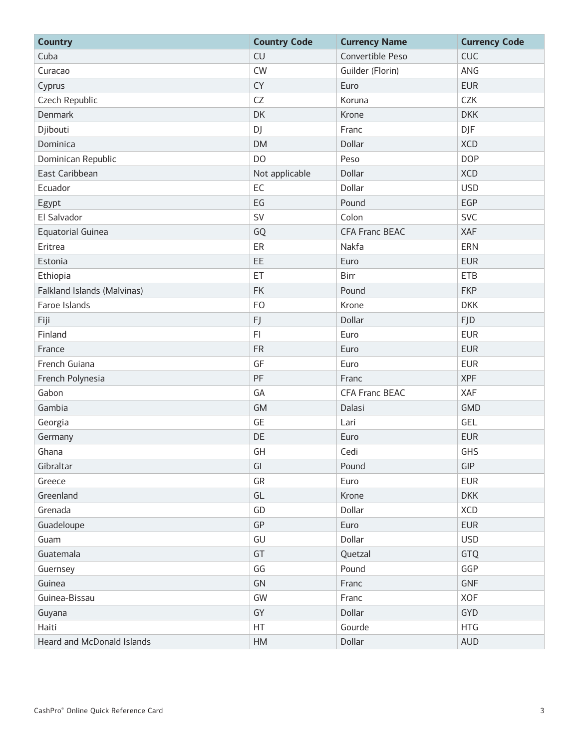| <b>Country</b>              | <b>Country Code</b> | <b>Currency Name</b>  | <b>Currency Code</b> |
|-----------------------------|---------------------|-----------------------|----------------------|
| Cuba                        | <b>CU</b>           | Convertible Peso      | <b>CUC</b>           |
| Curacao                     | <b>CW</b>           | Guilder (Florin)      | ANG                  |
| Cyprus                      | <b>CY</b>           | Euro                  | <b>EUR</b>           |
| Czech Republic              | CZ                  | Koruna                | CZK                  |
| Denmark                     | DK                  | Krone                 | <b>DKK</b>           |
| Djibouti                    | DJ                  | Franc                 | <b>DJF</b>           |
| Dominica                    | <b>DM</b>           | Dollar                | <b>XCD</b>           |
| Dominican Republic          | DO                  | Peso                  | <b>DOP</b>           |
| East Caribbean              | Not applicable      | Dollar                | <b>XCD</b>           |
| Ecuador                     | EC                  | Dollar                | <b>USD</b>           |
| Egypt                       | EG                  | Pound                 | EGP                  |
| El Salvador                 | SV                  | Colon                 | <b>SVC</b>           |
| Equatorial Guinea           | GQ                  | <b>CFA Franc BEAC</b> | <b>XAF</b>           |
| Eritrea                     | ER                  | Nakfa                 | ERN                  |
| Estonia                     | EE                  | Euro                  | <b>EUR</b>           |
| Ethiopia                    | ET                  | Birr                  | <b>ETB</b>           |
| Falkland Islands (Malvinas) | <b>FK</b>           | Pound                 | <b>FKP</b>           |
| Faroe Islands               | <b>FO</b>           | Krone                 | <b>DKK</b>           |
| Fiji                        | FJ                  | Dollar                | <b>FJD</b>           |
| Finland                     | F <sub>l</sub>      | Euro                  | <b>EUR</b>           |
| France                      | <b>FR</b>           | Euro                  | <b>EUR</b>           |
| French Guiana               | GF                  | Euro                  | <b>EUR</b>           |
| French Polynesia            | PF                  | Franc                 | <b>XPF</b>           |
| Gabon                       | GA                  | <b>CFA Franc BEAC</b> | XAF                  |
| Gambia                      | <b>GM</b>           | Dalasi                | <b>GMD</b>           |
| Georgia                     | GE                  | Lari                  | GEL                  |
| Germany                     | DE                  | Euro                  | <b>EUR</b>           |
| Ghana                       | GH                  | Cedi                  | GHS                  |
| Gibraltar                   | GI                  | Pound                 | GIP                  |
| Greece                      | GR                  | Euro                  | <b>EUR</b>           |
| Greenland                   | GL                  | Krone                 | <b>DKK</b>           |
| Grenada                     | GD                  | Dollar                | <b>XCD</b>           |
| Guadeloupe                  | GP                  | Euro                  | <b>EUR</b>           |
| Guam                        | GU                  | Dollar                | <b>USD</b>           |
| Guatemala                   | GT                  | Quetzal               | GTQ                  |
| Guernsey                    | GG                  | Pound                 | GGP                  |
| Guinea                      | GN                  | Franc                 | GNF                  |
| Guinea-Bissau               | GW                  | Franc                 | XOF                  |
| Guyana                      | GY                  | Dollar                | <b>GYD</b>           |
| Haiti                       | HT                  | Gourde                | <b>HTG</b>           |
| Heard and McDonald Islands  | HM                  | Dollar                | <b>AUD</b>           |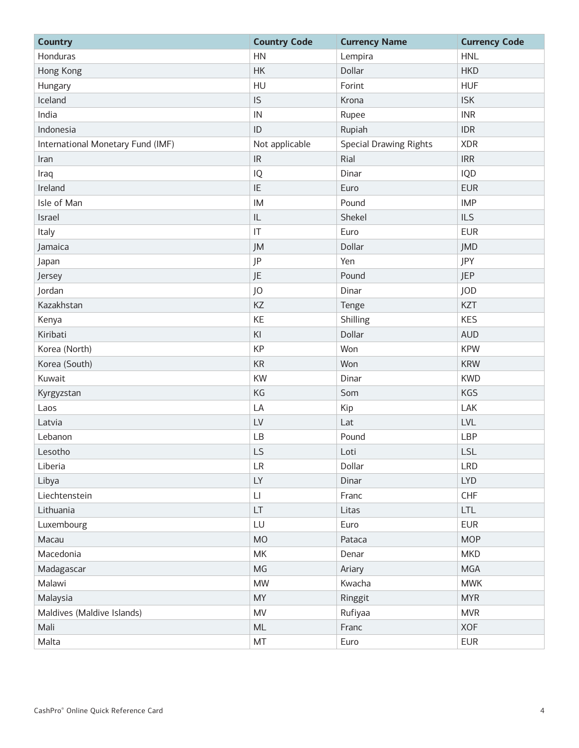| <b>Country</b>                    | <b>Country Code</b>    | <b>Currency Name</b>          | <b>Currency Code</b> |
|-----------------------------------|------------------------|-------------------------------|----------------------|
| Honduras                          | <b>HN</b>              | Lempira                       | <b>HNL</b>           |
| Hong Kong                         | HK                     | Dollar                        | <b>HKD</b>           |
| Hungary                           | HU                     | Forint                        | <b>HUF</b>           |
| Iceland                           | IS.                    | Krona                         | <b>ISK</b>           |
| India                             | ${\sf IN}$             | Rupee                         | <b>INR</b>           |
| Indonesia                         | ID                     | Rupiah                        | <b>IDR</b>           |
| International Monetary Fund (IMF) | Not applicable         | <b>Special Drawing Rights</b> | <b>XDR</b>           |
| Iran                              | IR                     | Rial                          | <b>IRR</b>           |
| Iraq                              | $\sf IQ$               | Dinar                         | IQD                  |
| Ireland                           | IE                     | Euro                          | <b>EUR</b>           |
| Isle of Man                       | IM                     | Pound                         | <b>IMP</b>           |
| Israel                            | $\mathsf{IL}$          | Shekel                        | <b>ILS</b>           |
| Italy                             | $\mathsf{I}\mathsf{T}$ | Euro                          | <b>EUR</b>           |
| Jamaica                           | JM                     | Dollar                        | <b>JMD</b>           |
| Japan                             | <b>JP</b>              | Yen                           | JPY                  |
| Jersey                            | <b>JE</b>              | Pound                         | <b>JEP</b>           |
| Jordan                            | JO                     | Dinar                         | <b>JOD</b>           |
| Kazakhstan                        | KZ                     | Tenge                         | KZT                  |
| Kenya                             | KE                     | Shilling                      | <b>KES</b>           |
| Kiribati                          | KI                     | Dollar                        | <b>AUD</b>           |
| Korea (North)                     | KP                     | Won                           | <b>KPW</b>           |
| Korea (South)                     | $\mathsf{KR}\xspace$   | Won                           | <b>KRW</b>           |
| Kuwait                            | KW                     | Dinar                         | <b>KWD</b>           |
| Kyrgyzstan                        | KG                     | Som                           | <b>KGS</b>           |
| Laos                              | LA                     | Kip                           | LAK                  |
| Latvia                            | LV                     | Lat                           | <b>LVL</b>           |
| Lebanon                           | LB                     | Pound                         | LBP                  |
| Lesotho                           | LS                     | Loti                          | <b>LSL</b>           |
| Liberia                           | LR                     | Dollar                        | <b>LRD</b>           |
| Libya                             | LY                     | Dinar                         | <b>LYD</b>           |
| Liechtenstein                     | $\mathsf{L}\mathsf{I}$ | Franc                         | <b>CHF</b>           |
| Lithuania                         | LT                     | Litas                         | <b>LTL</b>           |
| Luxembourg                        | LU                     | Euro                          | <b>EUR</b>           |
| Macau                             | <b>MO</b>              | Pataca                        | <b>MOP</b>           |
| Macedonia                         | MK                     | Denar                         | <b>MKD</b>           |
| Madagascar                        | MG                     | Ariary                        | <b>MGA</b>           |
| Malawi                            | <b>MW</b>              | Kwacha                        | <b>MWK</b>           |
| Malaysia                          | <b>MY</b>              | Ringgit                       | <b>MYR</b>           |
| Maldives (Maldive Islands)        | MV                     | Rufiyaa                       | <b>MVR</b>           |
| Mali                              | ML                     | Franc                         | <b>XOF</b>           |
| Malta                             | MT                     | Euro                          | <b>EUR</b>           |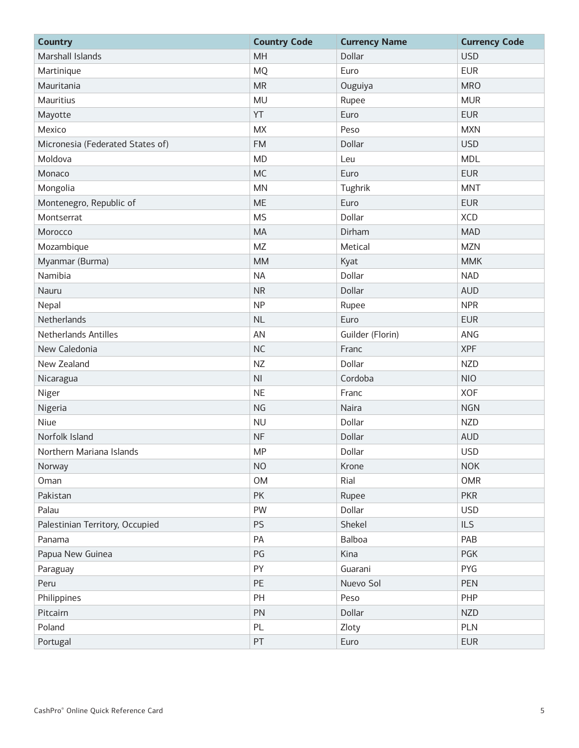| <b>Country</b>                   | <b>Country Code</b> | <b>Currency Name</b> | <b>Currency Code</b> |
|----------------------------------|---------------------|----------------------|----------------------|
| Marshall Islands                 | MH                  | Dollar               | <b>USD</b>           |
| Martinique                       | <b>MQ</b>           | Euro                 | <b>EUR</b>           |
| Mauritania                       | <b>MR</b>           | Ouguiya              | <b>MRO</b>           |
| Mauritius                        | <b>MU</b>           | Rupee                | <b>MUR</b>           |
| Mayotte                          | YT                  | Euro                 | <b>EUR</b>           |
| Mexico                           | <b>MX</b>           | Peso                 | <b>MXN</b>           |
| Micronesia (Federated States of) | <b>FM</b>           | Dollar               | <b>USD</b>           |
| Moldova                          | <b>MD</b>           | Leu                  | <b>MDL</b>           |
| Monaco                           | <b>MC</b>           | Euro                 | <b>EUR</b>           |
| Mongolia                         | <b>MN</b>           | Tughrik              | <b>MNT</b>           |
| Montenegro, Republic of          | <b>ME</b>           | Euro                 | <b>EUR</b>           |
| Montserrat                       | <b>MS</b>           | Dollar               | <b>XCD</b>           |
| Morocco                          | <b>MA</b>           | Dirham               | <b>MAD</b>           |
| Mozambique                       | <b>MZ</b>           | Metical              | <b>MZN</b>           |
| Myanmar (Burma)                  | <b>MM</b>           | Kyat                 | <b>MMK</b>           |
| Namibia                          | <b>NA</b>           | Dollar               | <b>NAD</b>           |
| Nauru                            | <b>NR</b>           | Dollar               | <b>AUD</b>           |
| Nepal                            | <b>NP</b>           | Rupee                | <b>NPR</b>           |
| Netherlands                      | <b>NL</b>           | Euro                 | <b>EUR</b>           |
| <b>Netherlands Antilles</b>      | AN                  | Guilder (Florin)     | ANG                  |
| New Caledonia                    | <b>NC</b>           | Franc                | <b>XPF</b>           |
| New Zealand                      | <b>NZ</b>           | Dollar               | <b>NZD</b>           |
| Nicaragua                        | N <sub>l</sub>      | Cordoba              | <b>NIO</b>           |
| Niger                            | <b>NE</b>           | Franc                | <b>XOF</b>           |
| Nigeria                          | <b>NG</b>           | Naira                | <b>NGN</b>           |
| Niue                             | <b>NU</b>           | Dollar               | <b>NZD</b>           |
| Norfolk Island                   | <b>NF</b>           | Dollar               | <b>AUD</b>           |
| Northern Mariana Islands         | <b>MP</b>           | Dollar               | <b>USD</b>           |
| Norway                           | <b>NO</b>           | Krone                | <b>NOK</b>           |
| Oman                             | <b>OM</b>           | Rial                 | OMR                  |
| Pakistan                         | PK                  | Rupee                | <b>PKR</b>           |
| Palau                            | PW                  | Dollar               | <b>USD</b>           |
| Palestinian Territory, Occupied  | <b>PS</b>           | Shekel               | <b>ILS</b>           |
| Panama                           | PA                  | Balboa               | PAB                  |
| Papua New Guinea                 | PG                  | Kina                 | <b>PGK</b>           |
| Paraguay                         | PY                  | Guarani              | PYG                  |
| Peru                             | PE                  | Nuevo Sol            | PEN                  |
| Philippines                      | PH                  | Peso                 | PHP                  |
| Pitcairn                         | PN                  | Dollar               | <b>NZD</b>           |
| Poland                           | PL                  | Zloty                | PLN                  |
| Portugal                         | PT                  | Euro                 | <b>EUR</b>           |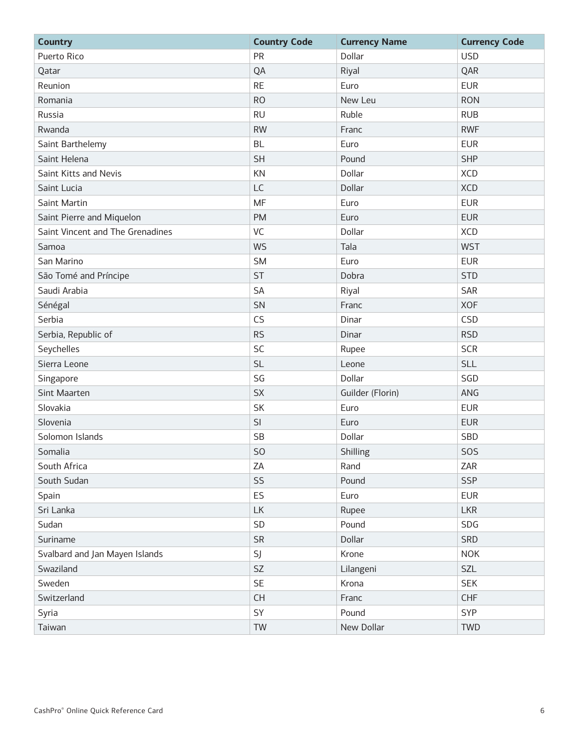| <b>Country</b>                   | <b>Country Code</b> | <b>Currency Name</b> | <b>Currency Code</b> |
|----------------------------------|---------------------|----------------------|----------------------|
| Puerto Rico                      | PR                  | Dollar               | <b>USD</b>           |
| Qatar                            | QA                  | Riyal                | QAR                  |
| Reunion                          | <b>RE</b>           | Euro                 | <b>EUR</b>           |
| Romania                          | <b>RO</b>           | New Leu              | <b>RON</b>           |
| Russia                           | <b>RU</b>           | Ruble                | <b>RUB</b>           |
| Rwanda                           | <b>RW</b>           | Franc                | <b>RWF</b>           |
| Saint Barthelemy                 | <b>BL</b>           | Euro                 | <b>EUR</b>           |
| Saint Helena                     | <b>SH</b>           | Pound                | <b>SHP</b>           |
| Saint Kitts and Nevis            | KN                  | Dollar               | <b>XCD</b>           |
| Saint Lucia                      | LC                  | Dollar               | <b>XCD</b>           |
| Saint Martin                     | <b>MF</b>           | Euro                 | <b>EUR</b>           |
| Saint Pierre and Miquelon        | <b>PM</b>           | Euro                 | <b>EUR</b>           |
| Saint Vincent and The Grenadines | VC                  | Dollar               | <b>XCD</b>           |
| Samoa                            | <b>WS</b>           | Tala                 | <b>WST</b>           |
| San Marino                       | <b>SM</b>           | Euro                 | <b>EUR</b>           |
| São Tomé and Príncipe            | <b>ST</b>           | Dobra                | <b>STD</b>           |
| Saudi Arabia                     | SA                  | Riyal                | SAR                  |
| Sénégal                          | SN                  | Franc                | <b>XOF</b>           |
| Serbia                           | CS                  | Dinar                | CSD                  |
| Serbia, Republic of              | <b>RS</b>           | Dinar                | <b>RSD</b>           |
| Seychelles                       | SC                  | Rupee                | <b>SCR</b>           |
| Sierra Leone                     | <b>SL</b>           | Leone                | <b>SLL</b>           |
| Singapore                        | SG                  | Dollar               | SGD                  |
| Sint Maarten                     | <b>SX</b>           | Guilder (Florin)     | ANG                  |
| Slovakia                         | SK                  | Euro                 | <b>EUR</b>           |
| Slovenia                         | SI                  | Euro                 | <b>EUR</b>           |
| Solomon Islands                  | <b>SB</b>           | Dollar               | SBD                  |
| Somalia                          | S <sub>O</sub>      | Shilling             | SOS                  |
| South Africa                     | ZA                  | Rand                 | ZAR                  |
| South Sudan                      | SS                  | Pound                | <b>SSP</b>           |
| Spain                            | ES                  | Euro                 | <b>EUR</b>           |
| Sri Lanka                        | LK                  | Rupee                | <b>LKR</b>           |
| Sudan                            | SD                  | Pound                | SDG                  |
| Suriname                         | <b>SR</b>           | Dollar               | SRD                  |
| Svalbard and Jan Mayen Islands   | SJ                  | Krone                | <b>NOK</b>           |
| Swaziland                        | SZ                  | Lilangeni            | SZL                  |
| Sweden                           | <b>SE</b>           | Krona                | <b>SEK</b>           |
| Switzerland                      | CH                  | Franc                | <b>CHF</b>           |
| Syria                            | SY                  | Pound                | SYP                  |
| Taiwan                           | TW                  | New Dollar           | <b>TWD</b>           |